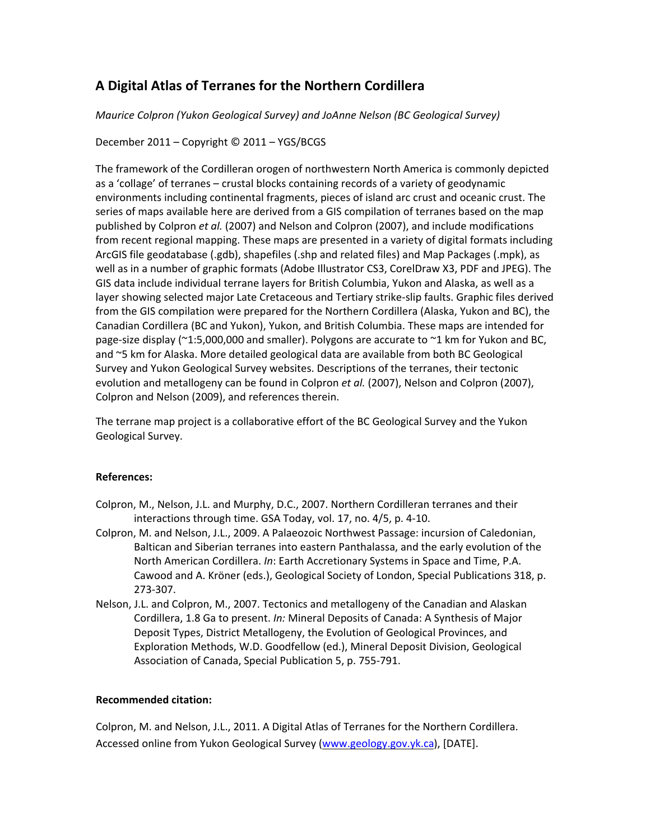# **A Digital Atlas of Terranes for the Northern Cordillera**

*Maurice Colpron (Yukon Geological Survey) and JoAnne Nelson (BC Geological Survey)*

December 2011 – Copyright © 2011 – YGS/BCGS

The framework of the Cordilleran orogen of northwestern North America is commonly depicted as a 'collage' of terranes – crustal blocks containing records of a variety of geodynamic environments including continental fragments, pieces of island arc crust and oceanic crust. The series of maps available here are derived from a GIS compilation of terranes based on the map published by Colpron *et al.* (2007) and Nelson and Colpron (2007), and include modifications from recent regional mapping. These maps are presented in a variety of digital formats including ArcGIS file geodatabase (.gdb), shapefiles (.shp and related files) and Map Packages (.mpk), as well as in a number of graphic formats (Adobe Illustrator CS3, CorelDraw X3, PDF and JPEG). The GIS data include individual terrane layers for British Columbia, Yukon and Alaska, as well as a layer showing selected major Late Cretaceous and Tertiary strike‐slip faults. Graphic files derived from the GIS compilation were prepared for the Northern Cordillera (Alaska, Yukon and BC), the Canadian Cordillera (BC and Yukon), Yukon, and British Columbia. These maps are intended for page-size display (~1:5,000,000 and smaller). Polygons are accurate to ~1 km for Yukon and BC, and ~5 km for Alaska. More detailed geological data are available from both BC Geological Survey and Yukon Geological Survey websites. Descriptions of the terranes, their tectonic evolution and metallogeny can be found in Colpron *et al.* (2007), Nelson and Colpron (2007), Colpron and Nelson (2009), and references therein.

The terrane map project is a collaborative effort of the BC Geological Survey and the Yukon Geological Survey.

# **References:**

- Colpron, M., Nelson, J.L. and Murphy, D.C., 2007. Northern Cordilleran terranes and their interactions through time. GSA Today, vol. 17, no. 4/5, p. 4‐10.
- Colpron, M. and Nelson, J.L., 2009. A Palaeozoic Northwest Passage: incursion of Caledonian, Baltican and Siberian terranes into eastern Panthalassa, and the early evolution of the North American Cordillera. *In*: Earth Accretionary Systems in Space and Time, P.A. Cawood and A. Kröner (eds.), Geological Society of London, Special Publications 318, p. 273‐307.
- Nelson, J.L. and Colpron, M., 2007. Tectonics and metallogeny of the Canadian and Alaskan Cordillera, 1.8 Ga to present. *In:* Mineral Deposits of Canada: A Synthesis of Major Deposit Types, District Metallogeny, the Evolution of Geological Provinces, and Exploration Methods, W.D. Goodfellow (ed.), Mineral Deposit Division, Geological Association of Canada, Special Publication 5, p. 755‐791.

# **Recommended citation:**

Colpron, M. and Nelson, J.L., 2011. A Digital Atlas of Terranes for the Northern Cordillera. Accessed online from Yukon Geological Survey [\(www.geology.gov.yk.ca\)](http://www.geology.gov.yk.ca/), [DATE].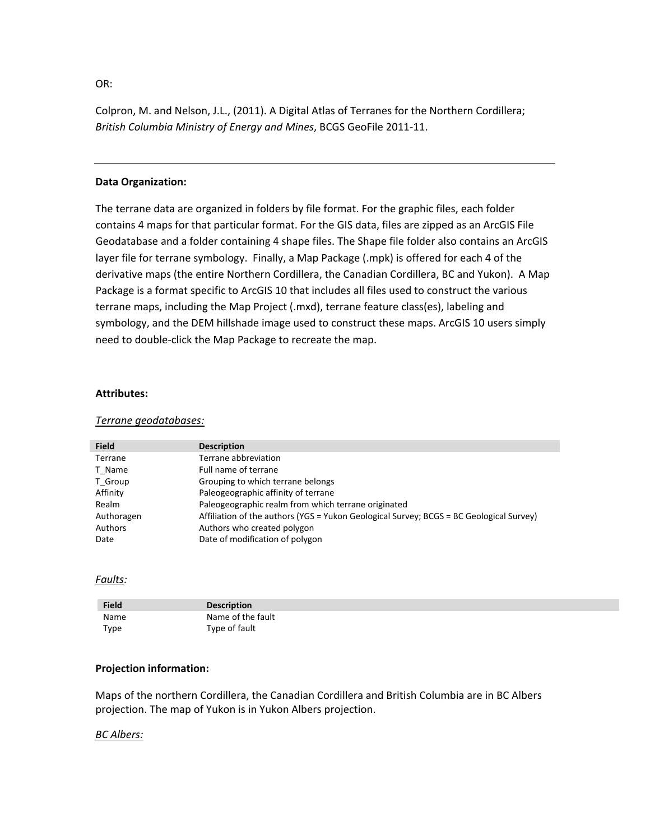OR:

Colpron, M. and Nelson, J.L., (2011). A Digital Atlas of Terranes for the Northern Cordillera; *British Columbia Ministry of Energy and Mines*, BCGS GeoFile 2011‐11.

# **Data Organization:**

The terrane data are organized in folders by file format. For the graphic files, each folder contains 4 maps for that particular format. For the GIS data, files are zipped as an ArcGIS File Geodatabase and a folder containing 4 shape files. The Shape file folder also contains an ArcGIS layer file for terrane symbology. Finally, a Map Package (.mpk) is offered for each 4 of the derivative maps (the entire Northern Cordillera, the Canadian Cordillera, BC and Yukon). A Map Package is a format specific to ArcGIS 10 that includes all files used to construct the various terrane maps, including the Map Project (.mxd), terrane feature class(es), labeling and symbology, and the DEM hillshade image used to construct these maps. ArcGIS 10 users simply need to double‐click the Map Package to recreate the map.

# **Attributes:**

#### *Terrane geodatabases:*

| <b>Field</b> | <b>Description</b>                                                                      |
|--------------|-----------------------------------------------------------------------------------------|
| Terrane      | Terrane abbreviation                                                                    |
| T Name       | Full name of terrane                                                                    |
| T Group      | Grouping to which terrane belongs                                                       |
| Affinity     | Paleogeographic affinity of terrane                                                     |
| Realm        | Paleogeographic realm from which terrane originated                                     |
| Authoragen   | Affiliation of the authors (YGS = Yukon Geological Survey; BCGS = BC Geological Survey) |
| Authors      | Authors who created polygon                                                             |
| Date         | Date of modification of polygon                                                         |

# *Faults:*

| <b>Field</b> | <b>Description</b> |
|--------------|--------------------|
| Name         | Name of the fault  |
| Type         | Type of fault      |

# **Projection information:**

Maps of the northern Cordillera, the Canadian Cordillera and British Columbia are in BC Albers projection. The map of Yukon is in Yukon Albers projection.

# *BC Albers:*